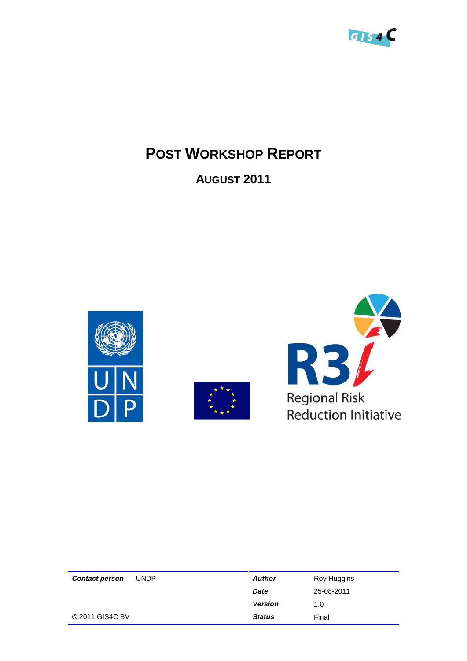

# **POST WORKSHOP REPORT**

## **AUGUST 2011**







| <b>Contact person</b> | <b>UNDP</b> | <b>Author</b>  | Roy Huggins |
|-----------------------|-------------|----------------|-------------|
|                       |             | <b>Date</b>    | 25-08-2011  |
|                       |             | <b>Version</b> | 1.0         |
| © 2011 GIS4C BV       |             | <b>Status</b>  | Final       |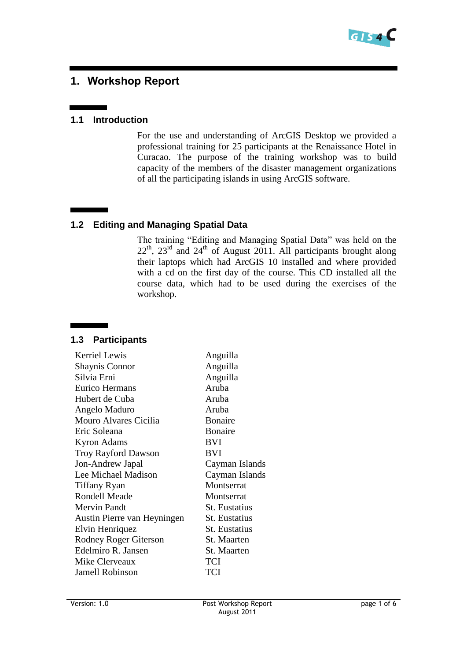

## **1. Workshop Report**

#### **1.1 Introduction**

For the use and understanding of ArcGIS Desktop we provided a professional training for 25 participants at the Renaissance Hotel in Curacao. The purpose of the training workshop was to build capacity of the members of the disaster management organizations of all the participating islands in using ArcGIS software.

#### **1.2 Editing and Managing Spatial Data**

The training "Editing and Managing Spatial Data" was held on the  $22<sup>th</sup>$ ,  $23<sup>rd</sup>$  and  $24<sup>th</sup>$  of August 2011. All participants brought along their laptops which had ArcGIS 10 installed and where provided with a cd on the first day of the course. This CD installed all the course data, which had to be used during the exercises of the workshop.

#### **1.3 Participants**

| <b>Kerriel Lewis</b>        | Anguilla             |  |  |
|-----------------------------|----------------------|--|--|
| <b>Shaynis Connor</b>       | Anguilla             |  |  |
| Silvia Erni                 | Anguilla             |  |  |
| <b>Eurico Hermans</b>       | Aruba                |  |  |
| Hubert de Cuba              | Aruba                |  |  |
| Angelo Maduro               | Aruba                |  |  |
| Mouro Alvares Cicilia       | <b>Bonaire</b>       |  |  |
| Eric Soleana                | <b>Bonaire</b>       |  |  |
| <b>Kyron Adams</b>          | <b>BVI</b>           |  |  |
| <b>Troy Rayford Dawson</b>  | BVI                  |  |  |
| Jon-Andrew Japal            | Cayman Islands       |  |  |
| Lee Michael Madison         | Cayman Islands       |  |  |
| Tiffany Ryan                | Montserrat           |  |  |
| <b>Rondell Meade</b>        | Montserrat           |  |  |
| Mervin Pandt                | <b>St.</b> Eustatius |  |  |
| Austin Pierre van Heyningen | St. Eustatius        |  |  |
| Elvin Henriquez             | St. Eustatius        |  |  |
| Rodney Roger Giterson       | St. Maarten          |  |  |
| Edelmiro R. Jansen          | St. Maarten          |  |  |
| Mike Clerveaux              | TCI                  |  |  |
| <b>Jamell Robinson</b>      | TCI                  |  |  |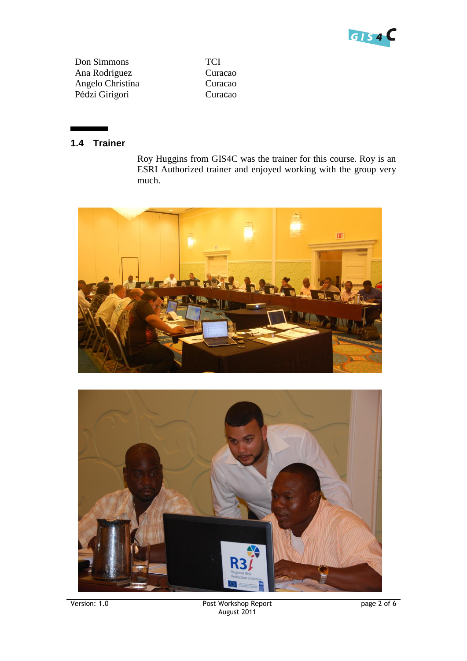

Don Simmons Ana Rodriguez Angelo Christina Pédzi Girigori

**TCI** Curacao Curacao Curacao

#### **1.4 Trainer**

Roy Huggins from GIS4C was the trainer for this course. Roy is an ESRI Authorized trainer and enjoyed working with the group very much.



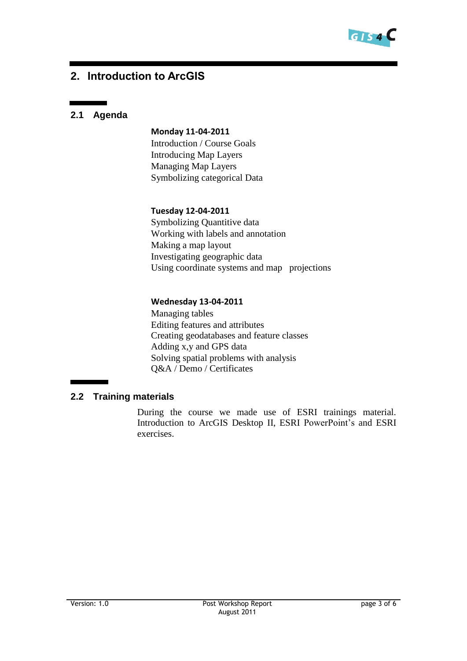

## **2. Introduction to ArcGIS**

#### **2.1 Agenda**

#### **Monday 11-04-2011**

Introduction / Course Goals Introducing Map Layers Managing Map Layers Symbolizing categorical Data

#### **Tuesday 12-04-2011**

Symbolizing Quantitive data Working with labels and annotation Making a map layout Investigating geographic data Using coordinate systems and map projections

#### **Wednesday 13-04-2011**

Managing tables Editing features and attributes Creating geodatabases and feature classes Adding x,y and GPS data Solving spatial problems with analysis Q&A / Demo / Certificates

#### **2.2 Training materials**

During the course we made use of ESRI trainings material. Introduction to ArcGIS Desktop II, ESRI PowerPoint's and ESRI exercises.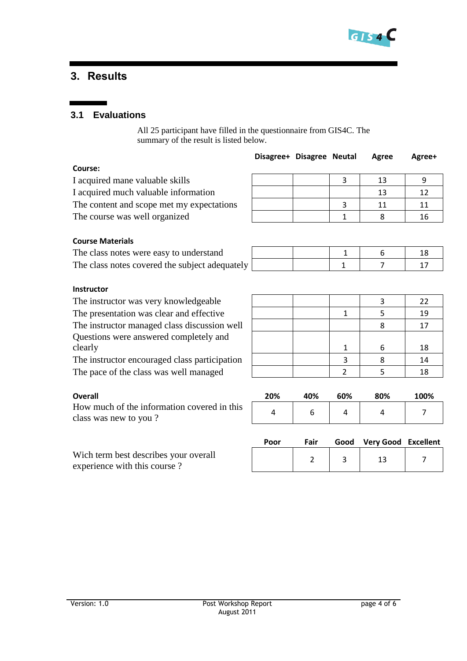

## **3. Results**

#### **3.1 Evaluations**

All 25 participant have filled in the questionnaire from GIS4C. The summary of the result is listed below.

|                                                                       | Disagree+ Disagree Neutal |                |                | Agree            | Agree+           |  |
|-----------------------------------------------------------------------|---------------------------|----------------|----------------|------------------|------------------|--|
| Course:                                                               |                           |                |                |                  |                  |  |
| I acquired mane valuable skills                                       |                           |                | 3              | 13               | 9                |  |
| I acquired much valuable information                                  |                           |                |                | 13               | 12               |  |
| The content and scope met my expectations                             |                           |                | 3              | 11               | 11               |  |
| The course was well organized                                         |                           |                | 1              | 8                | 16               |  |
|                                                                       |                           |                |                |                  |                  |  |
| <b>Course Materials</b>                                               |                           |                |                |                  |                  |  |
| The class notes were easy to understand                               |                           |                | $\mathbf{1}$   | 6                | 18               |  |
| The class notes covered the subject adequately                        |                           |                | $\mathbf{1}$   | $\overline{7}$   | 17               |  |
|                                                                       |                           |                |                |                  |                  |  |
| <b>Instructor</b>                                                     |                           |                |                |                  |                  |  |
| The instructor was very knowledgeable                                 |                           |                |                | 3                | 22               |  |
| The presentation was clear and effective                              |                           |                | $\mathbf{1}$   | 5                | 19               |  |
| The instructor managed class discussion well                          |                           |                |                | 8                | 17               |  |
| Questions were answered completely and                                |                           |                |                |                  |                  |  |
| clearly                                                               |                           |                | 1              | 6                | 18               |  |
| The instructor encouraged class participation                         |                           |                | 3              | 8                | 14               |  |
| The pace of the class was well managed                                |                           |                | $\overline{2}$ | 5                | 18               |  |
|                                                                       |                           |                |                |                  |                  |  |
| <b>Overall</b>                                                        | 20%                       | 40%            | 60%            | 80%              | 100%             |  |
| How much of the information covered in this<br>class was new to you?  | 4                         | 6              | 4              | 4                | 7                |  |
|                                                                       |                           |                |                |                  |                  |  |
|                                                                       | Poor                      | Fair           | Good           | <b>Very Good</b> | <b>Excellent</b> |  |
| Wich term best describes your overall<br>experience with this course? |                           | $\overline{2}$ | 3              | 13               | 7                |  |
|                                                                       |                           |                |                |                  |                  |  |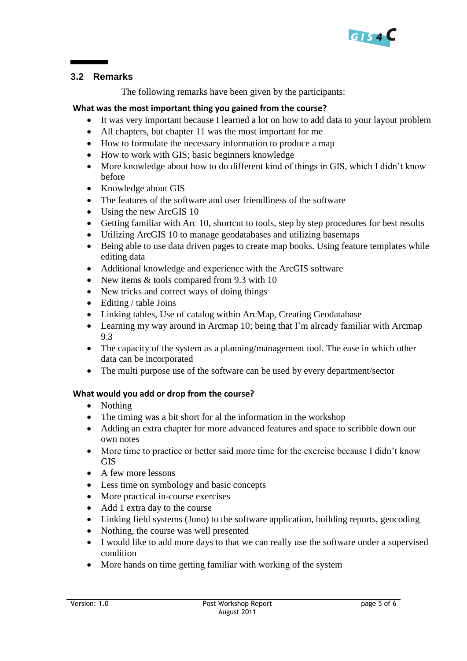

#### **3.2 Remarks**

The following remarks have been given by the participants:

#### **What was the most important thing you gained from the course?**

- It was very important because I learned a lot on how to add data to your layout problem
- All chapters, but chapter 11 was the most important for me
- How to formulate the necessary information to produce a map
- How to work with GIS; basic beginners knowledge
- More knowledge about how to do different kind of things in GIS, which I didn't know before
- Knowledge about GIS
- The features of the software and user friendliness of the software
- Using the new ArcGIS 10
- Getting familiar with Arc 10, shortcut to tools, step by step procedures for best results
- Utilizing ArcGIS 10 to manage geodatabases and utilizing basemaps
- Being able to use data driven pages to create map books. Using feature templates while editing data
- Additional knowledge and experience with the ArcGIS software
- New items & tools compared from 9.3 with 10
- New tricks and correct ways of doing things
- Editing / table Joins
- Linking tables, Use of catalog within ArcMap, Creating Geodatabase
- Learning my way around in Arcmap 10; being that I'm already familiar with Arcmap 9.3
- The capacity of the system as a planning/management tool. The ease in which other data can be incorporated
- The multi purpose use of the software can be used by every department/sector

#### **What would you add or drop from the course?**

- Nothing
- The timing was a bit short for al the information in the workshop
- Adding an extra chapter for more advanced features and space to scribble down our own notes
- More time to practice or better said more time for the exercise because I didn't know **GIS**
- A few more lessons
- Less time on symbology and basic concepts
- More practical in-course exercises
- Add 1 extra day to the course
- Linking field systems (Juno) to the software application, building reports, geocoding
- Nothing, the course was well presented
- I would like to add more days to that we can really use the software under a supervised condition
- More hands on time getting familiar with working of the system